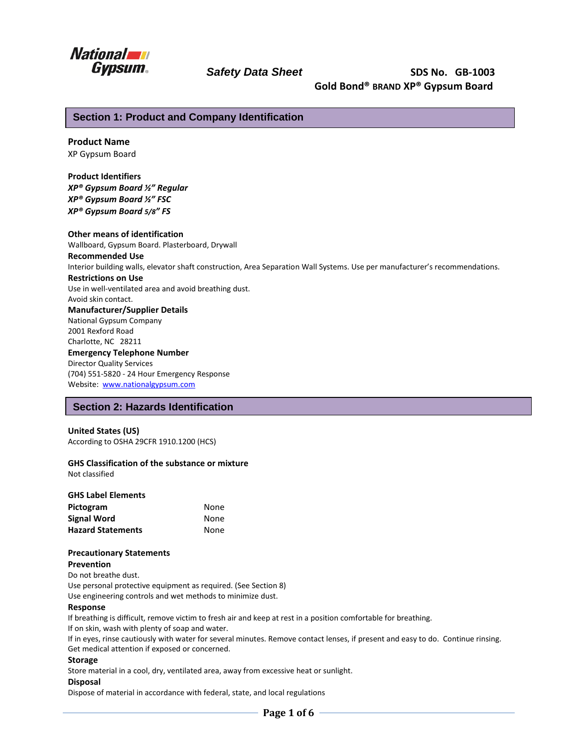

# **Safety Data Sheet CONSISTS** SDS No. GB-1003  **Gold Bond® BRAND XP® Gypsum Board**

### **Section 1: Product and Company Identification**

#### **Product Name**

XP Gypsum Board

**Product Identifiers** *XP® Gypsum Board ½" Regular XP® Gypsum Board ½" FSC XP® Gypsum Board 5/8" FS*

**Other means of identification**

Wallboard, Gypsum Board. Plasterboard, Drywall **Recommended Use**  Interior building walls, elevator shaft construction, Area Separation Wall Systems. Use per manufacturer's recommendations. **Restrictions on Use** Use in well-ventilated area and avoid breathing dust. Avoid skin contact. **Manufacturer/Supplier Details** National Gypsum Company 2001 Rexford Road Charlotte, NC 28211 **Emergency Telephone Number** Director Quality Services (704) 551-5820 - 24 Hour Emergency Response Website: [www.nationalgypsum.com](http://www.nationalgypsum.com/)

### **Section 2: Hazards Identification**

#### **United States (US)**

According to OSHA 29CFR 1910.1200 (HCS)

#### **GHS Classification of the substance or mixture**

Not classified

| <b>GHS Label Elements</b> |      |
|---------------------------|------|
| Pictogram                 | None |
| <b>Signal Word</b>        | None |
| <b>Hazard Statements</b>  | None |

#### **Precautionary Statements**

**Prevention**

Do not breathe dust.

Use personal protective equipment as required. (See Section 8)

Use engineering controls and wet methods to minimize dust.

#### **Response**

If breathing is difficult, remove victim to fresh air and keep at rest in a position comfortable for breathing.

If on skin, wash with plenty of soap and water.

If in eyes, rinse cautiously with water for several minutes. Remove contact lenses, if present and easy to do. Continue rinsing. Get medical attention if exposed or concerned.

#### **Storage**

Store material in a cool, dry, ventilated area, away from excessive heat or sunlight.

#### **Disposal**

Dispose of material in accordance with federal, state, and local regulations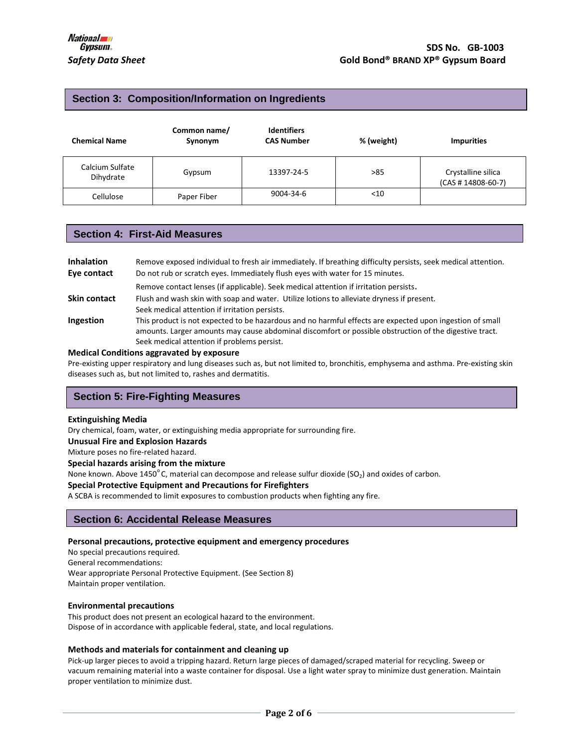### **Section 3: Composition/Information on Ingredients**

| <b>Chemical Name</b>         | Common name/<br>Synonym | <b>Identifiers</b><br><b>CAS Number</b> | % (weight) | <b>Impurities</b>                          |
|------------------------------|-------------------------|-----------------------------------------|------------|--------------------------------------------|
| Calcium Sulfate<br>Dihydrate | Gypsum                  | 13397-24-5                              | >85        | Crystalline silica<br>$(CAS # 14808-60-7)$ |
| Cellulose                    | Paper Fiber             | 9004-34-6                               | $<$ 10     |                                            |

### **Section 4: First-Aid Measures**

| <b>Inhalation</b> | Remove exposed individual to fresh air immediately. If breathing difficulty persists, seek medical attention.                                                                                                                                                     |
|-------------------|-------------------------------------------------------------------------------------------------------------------------------------------------------------------------------------------------------------------------------------------------------------------|
| Eye contact       | Do not rub or scratch eyes. Immediately flush eyes with water for 15 minutes.                                                                                                                                                                                     |
|                   | Remove contact lenses (if applicable). Seek medical attention if irritation persists.                                                                                                                                                                             |
| Skin contact      | Flush and wash skin with soap and water. Utilize lotions to alleviate dryness if present.<br>Seek medical attention if irritation persists.                                                                                                                       |
| Ingestion         | This product is not expected to be hazardous and no harmful effects are expected upon ingestion of small<br>amounts. Larger amounts may cause abdominal discomfort or possible obstruction of the digestive tract.<br>Seek medical attention if problems persist. |
|                   |                                                                                                                                                                                                                                                                   |

#### **Medical Conditions aggravated by exposure**

Pre-existing upper respiratory and lung diseases such as, but not limited to, bronchitis, emphysema and asthma. Pre-existing skin diseases such as, but not limited to, rashes and dermatitis.

## **Section 5: Fire-Fighting Measures**

#### **Extinguishing Media**

Dry chemical, foam, water, or extinguishing media appropriate for surrounding fire.

**Unusual Fire and Explosion Hazards** 

Mixture poses no fire-related hazard.

**Special hazards arising from the mixture**

None known. Above 1450°C, material can decompose and release sulfur dioxide (SO<sub>2</sub>) and oxides of carbon.

#### **Special Protective Equipment and Precautions for Firefighters**

A SCBA is recommended to limit exposures to combustion products when fighting any fire.

### **Section 6: Accidental Release Measures**

#### **Personal precautions, protective equipment and emergency procedures**

No special precautions required.

General recommendations:

Wear appropriate Personal Protective Equipment. (See Section 8) Maintain proper ventilation.

#### **Environmental precautions**

This product does not present an ecological hazard to the environment. Dispose of in accordance with applicable federal, state, and local regulations.

#### **Methods and materials for containment and cleaning up**

Pick-up larger pieces to avoid a tripping hazard. Return large pieces of damaged/scraped material for recycling. Sweep or vacuum remaining material into a waste container for disposal. Use a light water spray to minimize dust generation. Maintain proper ventilation to minimize dust.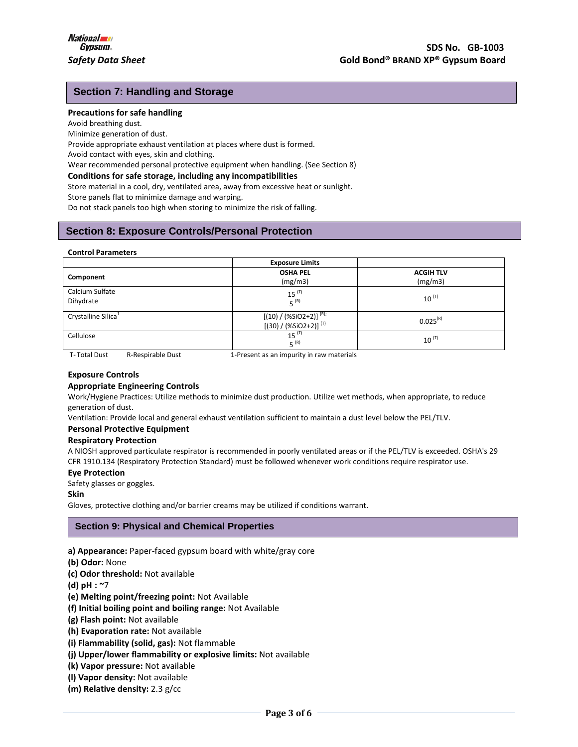## **Section 7: Handling and Storage**

#### **Precautions for safe handling**

Avoid breathing dust.

Minimize generation of dust.

Provide appropriate exhaust ventilation at places where dust is formed.

Avoid contact with eyes, skin and clothing.

Wear recommended personal protective equipment when handling. (See Section 8)

#### **Conditions for safe storage, including any incompatibilities**

Store material in a cool, dry, ventilated area, away from excessive heat or sunlight.

Store panels flat to minimize damage and warping.

Do not stack panels too high when storing to minimize the risk of falling.

## **Section 8: Exposure Controls/Personal Protection**

#### **Control Parameters**

|                                 | <b>Exposure Limits</b>                                   |                             |
|---------------------------------|----------------------------------------------------------|-----------------------------|
| Component                       | <b>OSHA PEL</b><br>(mg/m3)                               | <b>ACGIH TLV</b><br>(mg/m3) |
| Calcium Sulfate<br>Dihydrate    | $15^{(T)}$<br>$5^{(R)}$                                  | $10^{(T)}$                  |
| Crystalline Silica <sup>1</sup> | $[(10) / (%SiO2+2)]^{(R)}$<br>$[(30) / (%SiO2+2)]^{(T)}$ | $0.025^{(R)}$               |
| Cellulose                       | $15^{(T)}$<br>$F^{(R)}$                                  | $10^{(T)}$                  |
| ___                             |                                                          |                             |

T- Total Dust R-Respirable Dust 1-Present as an impurity in raw materials

#### **Exposure Controls**

#### **Appropriate Engineering Controls**

Work/Hygiene Practices: Utilize methods to minimize dust production. Utilize wet methods, when appropriate, to reduce generation of dust.

Ventilation: Provide local and general exhaust ventilation sufficient to maintain a dust level below the PEL/TLV.

#### **Personal Protective Equipment**

#### **Respiratory Protection**

A NIOSH approved particulate respirator is recommended in poorly ventilated areas or if the PEL/TLV is exceeded. OSHA's 29 CFR 1910.134 (Respiratory Protection Standard) must be followed whenever work conditions require respirator use.

#### **Eye Protection**

Safety glasses or goggles.

**Skin** 

Gloves, protective clothing and/or barrier creams may be utilized if conditions warrant.

### **Section 9: Physical and Chemical Properties**

**a) Appearance:** Paper-faced gypsum board with white/gray core

- **(b) Odor:** None
- **(c) Odor threshold:** Not available
- **(d) pH : ~**7
- **(e) Melting point/freezing point:** Not Available
- **(f) Initial boiling point and boiling range:** Not Available
- **(g) Flash point:** Not available
- **(h) Evaporation rate:** Not available
- **(i) Flammability (solid, gas):** Not flammable
- **(j) Upper/lower flammability or explosive limits:** Not available
- **(k) Vapor pressure:** Not available
- **(l) Vapor density:** Not available
- **(m) Relative density:** 2.3 g/cc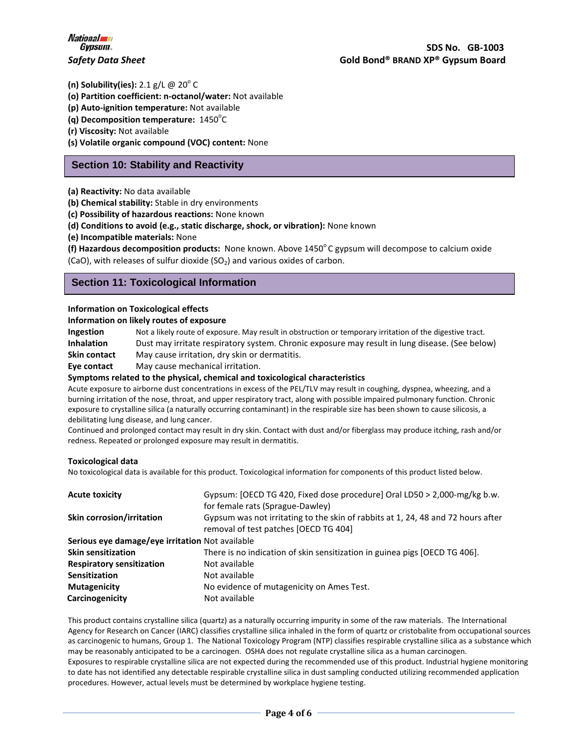**(n) Solubility(ies):** 2.1 g/L @ 20<sup>°</sup>C

**(o) Partition coefficient: n-octanol/water:** Not available

**(p) Auto-ignition temperature:** Not available

**(q) Decomposition temperature:** 1450<sup>°</sup>C

**(r) Viscosity:** Not available

**(s) Volatile organic compound (VOC) content:** None

## **Section 10: Stability and Reactivity**

**(a) Reactivity:** No data available

**(b) Chemical stability:** Stable in dry environments

**(c) Possibility of hazardous reactions:** None known

**(d) Conditions to avoid (e.g., static discharge, shock, or vibration):** None known

**(e) Incompatible materials:** None

(f) Hazardous decomposition products: None known. Above 1450°C gypsum will decompose to calcium oxide (CaO), with releases of sulfur dioxide (SO<sub>2</sub>) and various oxides of carbon.

## **Section 11: Toxicological Information**

#### **Information on Toxicological effects**

**Information on likely routes of exposure**

**Ingestion** Not a likely route of exposure. May result in obstruction or temporary irritation of the digestive tract. **Inhalation** Dust may irritate respiratory system. Chronic exposure may result in lung disease. (See below) **Skin contact** May cause irritation, dry skin or dermatitis.

**Eye contact** May cause mechanical irritation.

#### **Symptoms related to the physical, chemical and toxicological characteristics**

Acute exposure to airborne dust concentrations in excess of the PEL/TLV may result in coughing, dyspnea, wheezing, and a burning irritation of the nose, throat, and upper respiratory tract, along with possible impaired pulmonary function. Chronic exposure to crystalline silica (a naturally occurring contaminant) in the respirable size has been shown to cause silicosis, a debilitating lung disease, and lung cancer.

Continued and prolonged contact may result in dry skin. Contact with dust and/or fiberglass may produce itching, rash and/or redness. Repeated or prolonged exposure may result in dermatitis.

#### **Toxicological data**

No toxicological data is available for this product. Toxicological information for components of this product listed below.

| <b>Acute toxicity</b>                           | Gypsum: [OECD TG 420, Fixed dose procedure] Oral LD50 > 2,000-mg/kg b.w.<br>for female rats (Sprague-Dawley)              |
|-------------------------------------------------|---------------------------------------------------------------------------------------------------------------------------|
| <b>Skin corrosion/irritation</b>                | Gypsum was not irritating to the skin of rabbits at 1, 24, 48 and 72 hours after<br>removal of test patches [OECD TG 404] |
| Serious eye damage/eye irritation Not available |                                                                                                                           |
| <b>Skin sensitization</b>                       | There is no indication of skin sensitization in guinea pigs [OECD TG 406].                                                |
| <b>Respiratory sensitization</b>                | Not available                                                                                                             |
| <b>Sensitization</b>                            | Not available                                                                                                             |
| <b>Mutagenicity</b>                             | No evidence of mutagenicity on Ames Test.                                                                                 |
| Carcinogenicity                                 | Not available                                                                                                             |

This product contains crystalline silica (quartz) as a naturally occurring impurity in some of the raw materials. The International Agency for Research on Cancer (IARC) classifies crystalline silica inhaled in the form of quartz or cristobalite from occupational sources as carcinogenic to humans, Group 1. The National Toxicology Program (NTP) classifies respirable crystalline silica as a substance which may be reasonably anticipated to be a carcinogen. OSHA does not regulate crystalline silica as a human carcinogen. Exposures to respirable crystalline silica are not expected during the recommended use of this product. Industrial hygiene monitoring to date has not identified any detectable respirable crystalline silica in dust sampling conducted utilizing recommended application procedures. However, actual levels must be determined by workplace hygiene testing.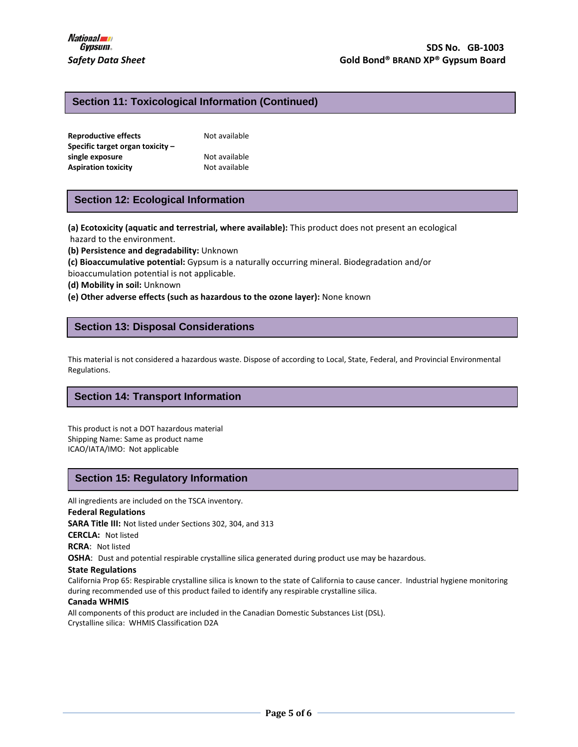## **Section 11: Toxicological Information (Continued)**

| <b>Reproductive effects</b>      | Not available |
|----------------------------------|---------------|
| Specific target organ toxicity – |               |
| single exposure                  | Not available |
| <b>Aspiration toxicity</b>       | Not available |

## **Section 12: Ecological Information**

**(a) Ecotoxicity (aquatic and terrestrial, where available):** This product does not present an ecological hazard to the environment.

**(b) Persistence and degradability:** Unknown

**(c) Bioaccumulative potential:** Gypsum is a naturally occurring mineral. Biodegradation and/or bioaccumulation potential is not applicable.

**(d) Mobility in soil:** Unknown

**(e) Other adverse effects (such as hazardous to the ozone layer):** None known

## **Section 13: Disposal Considerations**

This material is not considered a hazardous waste. Dispose of according to Local, State, Federal, and Provincial Environmental Regulations.

### **Section 14: Transport Information**

This product is not a DOT hazardous material Shipping Name: Same as product name ICAO/IATA/IMO: Not applicable

## **Section 15: Regulatory Information**

All ingredients are included on the TSCA inventory.

### **Federal Regulations**

**SARA Title III:** Not listed under Sections 302, 304, and 313

**CERCLA:** Not listed

**RCRA**: Not listed

**OSHA**: Dust and potential respirable crystalline silica generated during product use may be hazardous.

#### **State Regulations**

California Prop 65: Respirable crystalline silica is known to the state of California to cause cancer. Industrial hygiene monitoring during recommended use of this product failed to identify any respirable crystalline silica.

#### **Canada WHMIS**

All components of this product are included in the Canadian Domestic Substances List (DSL). Crystalline silica: WHMIS Classification D2A